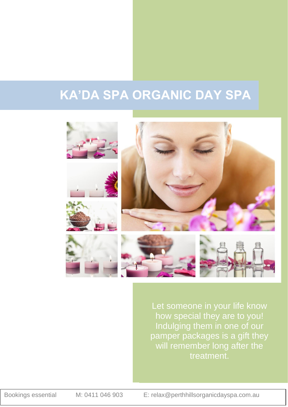# **KA'DA SPA ORGANIC DAY SPA**



Let someone in your life know how special they are to you! Indulging them in one of our pamper packages is a gift they will remember long after the treatment.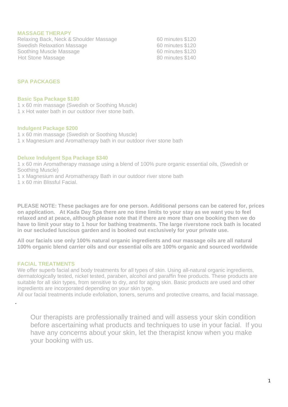#### **MASSAGE THERAPY**

Relaxing Back, Neck & Shoulder Massage 60 minutes \$120 Swedish Relaxation Massage<br>
Soothing Muscle Massage<br>
60 minutes \$120 Soothing Muscle Massage Hot Stone Massage **1980** Massage 80 minutes \$140

### **SPA PACKAGES**

#### **Basic Spa Package \$180**

1 x 60 min massage (Swedish or Soothing Muscle)

1 x Hot water bath in our outdoor river stone bath.

#### **Indulgent Package \$200**

1 x 60 min massage (Swedish or Soothing Muscle)

1 x Magnesium and Aromatherapy bath in our outdoor river stone bath

#### **Deluxe Indulgent Spa Package \$340**

1 x 60 min Aromatherapy massage using a blend of 100% pure organic essential oils, (Swedish or Soothing Muscle)

1 x Magnesium and Aromatherapy Bath in our outdoor river stone bath

1 x 60 min Blissful Facial.

**PLEASE NOTE: These packages are for one person. Additional persons can be catered for, prices on application. At Kada Day Spa there are no time limits to your stay as we want you to feel relaxed and at peace, although please note that if there are more than one booking then we do have to limit your stay to 1 hour for bathing treatments. The large riverstone rock bath is located in our secluded luscious garden and is booked out exclusively for your private use.** 

**All our facials use only 100% natural organic ingredients and our massage oils are all natural 100% organic blend carrier oils and our essential oils are 100% organic and sourced worldwide**

#### **FACIAL TREATMENTS**

.

We offer superb facial and body treatments for all types of skin. Using all-natural organic ingredients, dermatologically tested, nickel tested, paraben, alcohol and paraffin free products. These products are suitable for all skin types, from sensitive to dry, and for aging skin. Basic products are used and other ingredients are incorporated depending on your skin type.

All our facial treatments include exfoliation, toners, serums and protective creams, and facial massage.

Our therapists are professionally trained and will assess your skin condition before ascertaining what products and techniques to use in your facial. If you have any concerns about your skin, let the therapist know when you make your booking with us.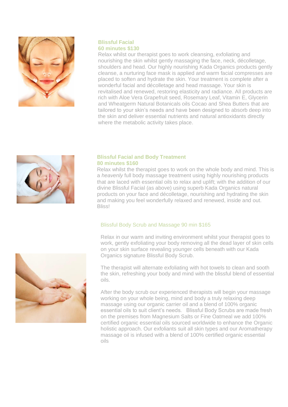

# **Blissful Facial 60 minutes \$130**

Relax whilst our therapist goes to work cleansing, exfoliating and nourishing the skin whilst gently massaging the face, neck, décolletage, shoulders and head. Our highly nourishing Kada Organics products gently cleanse, a nurturing face mask is applied and warm facial compresses are placed to soften and hydrate the skin. Your treatment is complete after a wonderful facial and décolletage and head massage. Your skin is revitalised and renewed, restoring elasticity and radiance. All products are rich with Aloe Vera Grapefruit seed, Rosemary Leaf, Vitamin E, Glycerin and Wheatgerm Natural Botanicals oils Cocao and Shea Butters that are tailored to your skin's needs and have been designed to absorb deep into the skin and deliver essential nutrients and natural antioxidants directly where the metabolic activity takes place.



## **Blissful Facial and Body Treatment 80 minutes \$160**

Relax whilst the therapist goes to work on the whole body and mind. This is a *heavenly* full body massage treatment using highly nourishing products that are laced with essential oils to relax and uplift; with the addition of our divine Blissful Facial (as above) using superb Kada Organics natural products on your face and décolletage, nourishing and hydrating the skin and making you feel wonderfully relaxed and renewed, inside and out. Bliss!

# Blissful Body Scrub and Massage 90 min \$165

Relax in our warm and inviting environment whilst your therapist goes to work, gently exfoliating your body removing all the dead layer of skin cells on your skin surface revealing younger cells beneath with our Kada Organics signature Blissful Body Scrub.



The therapist will alternate exfoliating with hot towels to clean and sooth the skin, refreshing your body and mind with the blissful blend of essential oils.

After the body scrub our experienced therapists will begin your massage working on your whole being, mind and body a truly relaxing deep massage using our organic carrier oil and a blend of 100% organic essential oils to suit client's needs. Blissful Body Scrubs are made fresh on the premises from Magnesium Salts or Fine Oatmeal we add 100% certified organic essential oils sourced worldwide to enhance the Organic holistic approach. Our exfoliants suit all skin types and our Aromatherapy massage oil is infused with a blend of 100% certified organic essential oils